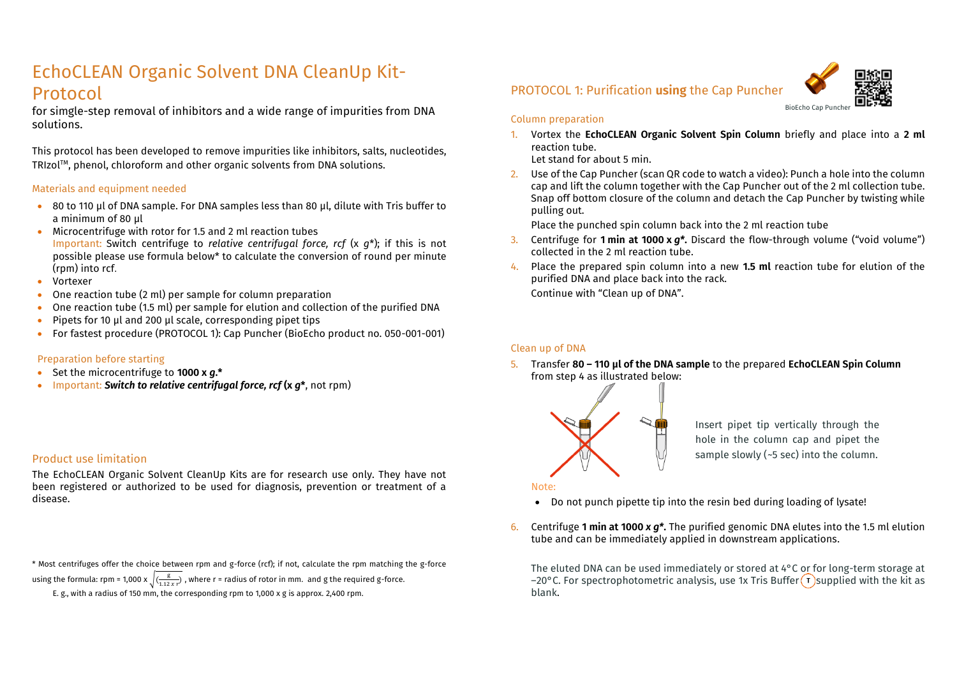## EchoCLEAN Organic Solvent DNA CleanUp Kit-Protocol

for simgle-step removal of inhibitors and a wide range of impurities from DNA solutions.

This protocol has been developed to remove impurities like inhibitors, salts, nucleotides, TRIzol™, phenol, chloroform and other organic solvents from DNA solutions.

#### Materials and equipment needed

- 80 to 110 µl of DNA sample. For DNA samples less than 80 µl, dilute with Tris buffer to a minimum of 80 µl
- Microcentrifuge with rotor for 1.5 and 2 ml reaction tubes Important: Switch centrifuge to *relative centrifugal force, rcf* (x *g*\*); if this is not possible please use formula below\* to calculate the conversion of round per minute (rpm) into rcf.
- Vortexer
- One reaction tube (2 ml) per sample for column preparation
- One reaction tube (1.5 ml) per sample for elution and collection of the purified DNA
- Pipets for 10 µl and 200 µl scale, corresponding pipet tips
- For fastest procedure (PROTOCOL 1): Cap Puncher (BioEcho product no. 050-001-001)

#### Preparation before starting

- Set the microcentrifuge to **1000 x** *g***.\***
- Important: *Switch to relative centrifugal force, rcf* **(x** *g***\***, not rpm)

#### Product use limitation

The EchoCLEAN Organic Solvent CleanUp Kits are for research use only. They have not been registered or authorized to be used for diagnosis, prevention or treatment of a disease.

\* Most centrifuges offer the choice between rpm and g-force (rcf); if not, calculate the rpm matching the g-force

using the formula: rpm = 1,000 x  $\sqrt{(\frac{g}{1.12 \times r})}$ , where r = radius of rotor in mm. and g the required g-force.

E. g., with a radius of 150 mm, the corresponding rpm to 1,000 x g is approx. 2,400 rpm.

## PROTOCOL 1: Purification **using** the Cap Puncher



#### Column preparation

1. Vortex the **EchoCLEAN Organic Solvent Spin Column** briefly and place into a **2 ml** reaction tube.

Let stand for about 5 min.

2. Use of the Cap Puncher (scan QR code to watch a video): Punch a hole into the column cap and lift the column together with the Cap Puncher out of the 2 ml collection tube. Snap off bottom closure of the column and detach the Cap Puncher by twisting while pulling out.

Place the punched spin column back into the 2 ml reaction tube

- 3. Centrifuge for **1 min at 1000 x** *g\****.** Discard the flow-through volume ("void volume") collected in the 2 ml reaction tube.
- 4. Place the prepared spin column into a new **1.5 ml** reaction tube for elution of the purified DNA and place back into the rack. Continue with "Clean up of DNA".

#### Clean up of DNA

5. Transfer **80 – 110 µl of the DNA sample** to the prepared **EchoCLEAN Spin Column** from step 4 as illustrated below:



Insert pipet tip vertically through the hole in the column cap and pipet the sample slowly ( $-5$  sec) into the column.

#### Note:

- Do not punch pipette tip into the resin bed during loading of lysate!
- 6. Centrifuge **1 min at 1000** *x g\****.** The purified genomic DNA elutes into the 1.5 ml elution tube and can be immediately applied in downstream applications.

The eluted DNA can be used immediately or stored at 4°C or for long-term storage at  $-20^{\circ}$ C. For spectrophotometric analysis, use 1x Tris Buffer  $\Gamma$  supplied with the kit as blank.